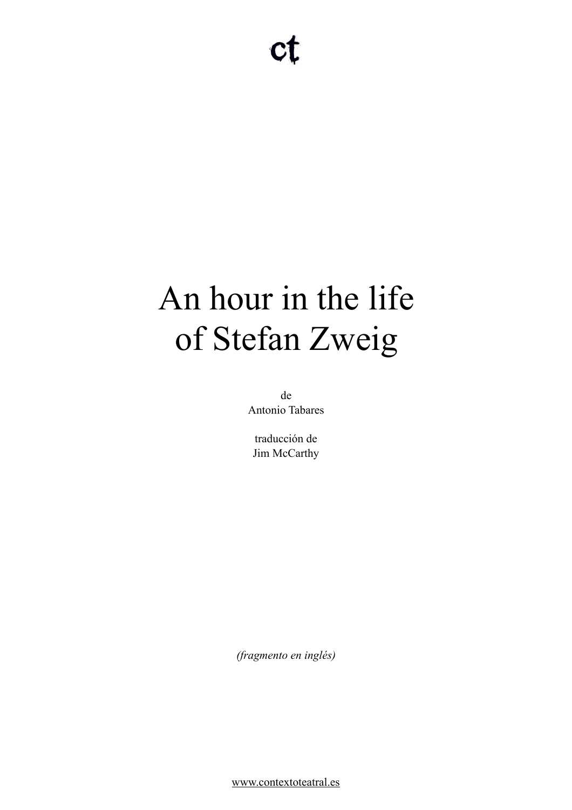# An hour in the life of Stefan Zweig

de Antonio Tabares

traducción de Jim McCarthy

*(fragmento en inglés)* 

[www.contextoteatral.es](http://www.contextoteatral.es)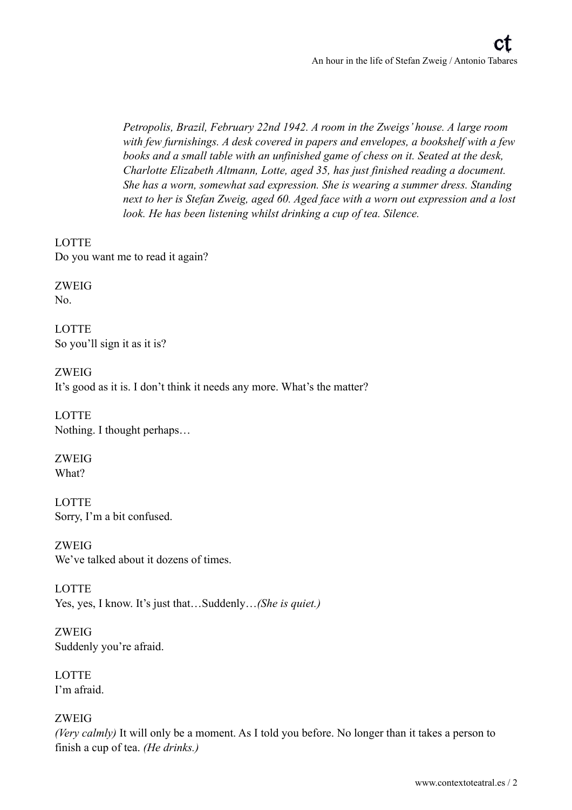*Petropolis, Brazil, February 22nd 1942. A room in the Zweigs' house. A large room with few furnishings. A desk covered in papers and envelopes, a bookshelf with a few books and a small table with an unfinished game of chess on it. Seated at the desk, Charlotte Elizabeth Altmann, Lotte, aged 35, has just finished reading a document. She has a worn, somewhat sad expression. She is wearing a summer dress. Standing next to her is Stefan Zweig, aged 60. Aged face with a worn out expression and a lost look. He has been listening whilst drinking a cup of tea. Silence.* 

**LOTTE** Do you want me to read it again?

ZWEIG No.

LOTTE So you'll sign it as it is?

ZWEIG It's good as it is. I don't think it needs any more. What's the matter?

LOTTE Nothing. I thought perhaps…

ZWEIG What?

LOTTE Sorry, I'm a bit confused.

ZWEIG We've talked about it dozens of times.

**LOTTE** Yes, yes, I know. It's just that…Suddenly…*(She is quiet.)*

ZWEIG Suddenly you're afraid.

**LOTTE** I'm afraid.

ZWEIG

*(Very calmly)* It will only be a moment. As I told you before. No longer than it takes a person to finish a cup of tea. *(He drinks.)*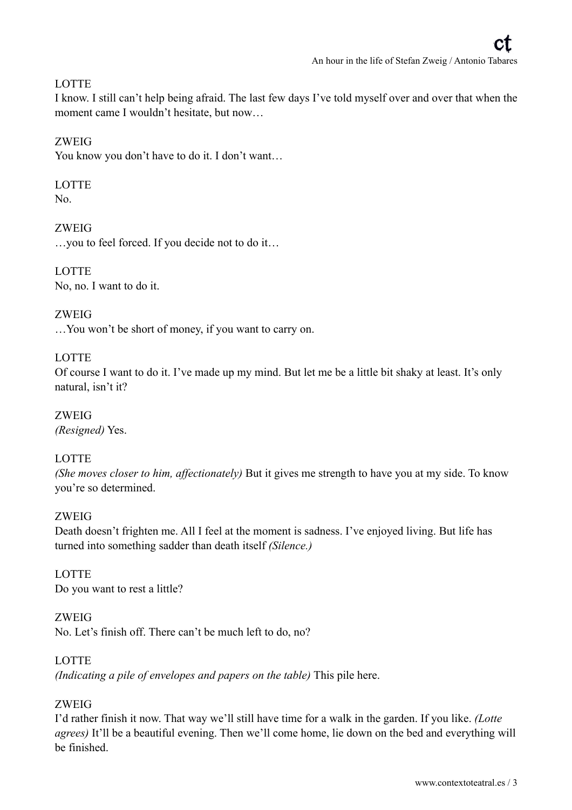#### **LOTTE**

I know. I still can't help being afraid. The last few days I've told myself over and over that when the moment came I wouldn't hesitate, but now…

#### ZWEIG

You know you don't have to do it. I don't want…

#### LOTTE

 $N<sub>0</sub>$ 

ZWEIG …you to feel forced. If you decide not to do it…

**LOTTE** No, no. I want to do it.

ZWEIG …You won't be short of money, if you want to carry on.

#### **LOTTE**

Of course I want to do it. I've made up my mind. But let me be a little bit shaky at least. It's only natural, isn't it?

ZWEIG *(Resigned)* Yes.

# **LOTTE**

*(She moves closer to him, affectionately)* But it gives me strength to have you at my side. To know you're so determined.

#### ZWEIG

Death doesn't frighten me. All I feel at the moment is sadness. I've enjoyed living. But life has turned into something sadder than death itself *(Silence.)* 

#### LOTTE Do you want to rest a little?

ZWEIG No. Let's finish off. There can't be much left to do, no?

# **LOTTE**

*(Indicating a pile of envelopes and papers on the table)* This pile here.

# ZWEIG

I'd rather finish it now. That way we'll still have time for a walk in the garden. If you like. *(Lotte agrees)* It'll be a beautiful evening. Then we'll come home, lie down on the bed and everything will be finished.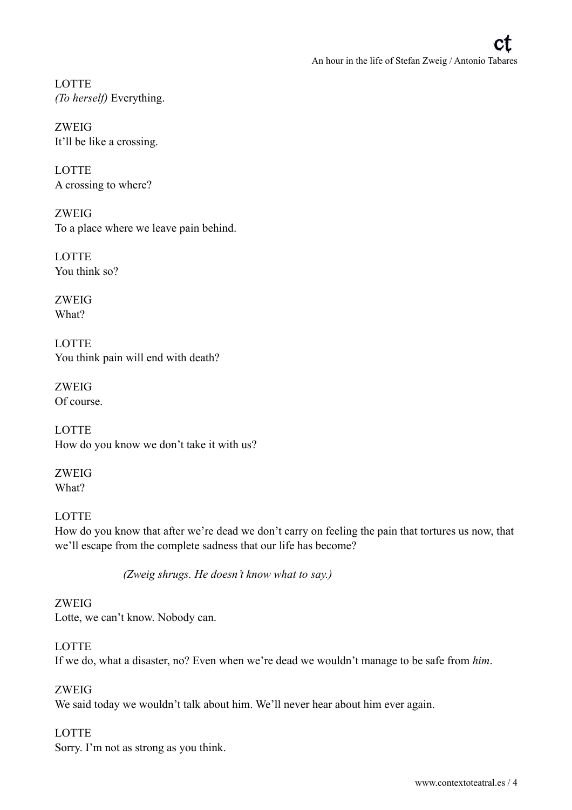**LOTTE** *(To herself)* Everything.

ZWEIG It'll be like a crossing.

**LOTTE** A crossing to where?

ZWEIG To a place where we leave pain behind.

LOTTE You think so?

ZWEIG What?

**LOTTE** You think pain will end with death?

ZWEIG Of course.

LOTTE How do you know we don't take it with us?

ZWEIG What?

LOTTE How do you know that after we're dead we don't carry on feeling the pain that tortures us now, that we'll escape from the complete sadness that our life has become?

*(Zweig shrugs. He doesn't know what to say.)* 

ZWEIG Lotte, we can't know. Nobody can.

LOTTE If we do, what a disaster, no? Even when we're dead we wouldn't manage to be safe from *him*.

ZWEIG We said today we wouldn't talk about him. We'll never hear about him ever again.

#### LOTTE Sorry. I'm not as strong as you think.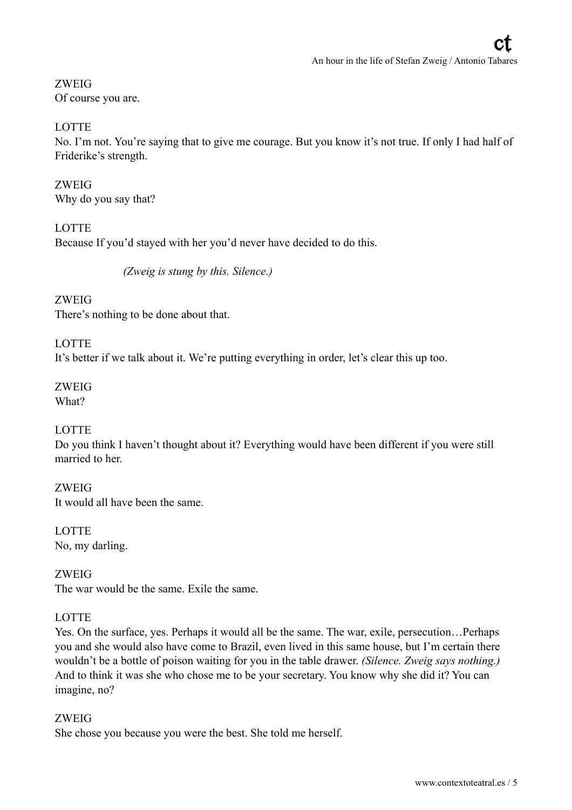ZWEIG Of course you are.

# **LOTTE**

No. I'm not. You're saying that to give me courage. But you know it's not true. If only I had half of Friderike's strength.

ZWEIG Why do you say that?

**LOTTE** Because If you'd stayed with her you'd never have decided to do this.

*(Zweig is stung by this. Silence.)* 

ZWEIG There's nothing to be done about that.

**LOTTE** 

It's better if we talk about it. We're putting everything in order, let's clear this up too.

# ZWEIG

What?

# LOTTE

Do you think I haven't thought about it? Everything would have been different if you were still married to her

ZWEIG It would all have been the same.

LOTTE No, my darling.

ZWEIG The war would be the same. Exile the same.

# **LOTTE**

Yes. On the surface, yes. Perhaps it would all be the same. The war, exile, persecution…Perhaps you and she would also have come to Brazil, even lived in this same house, but I'm certain there wouldn't be a bottle of poison waiting for you in the table drawer. *(Silence. Zweig says nothing.)*  And to think it was she who chose me to be your secretary. You know why she did it? You can imagine, no?

#### ZWEIG

She chose you because you were the best. She told me herself.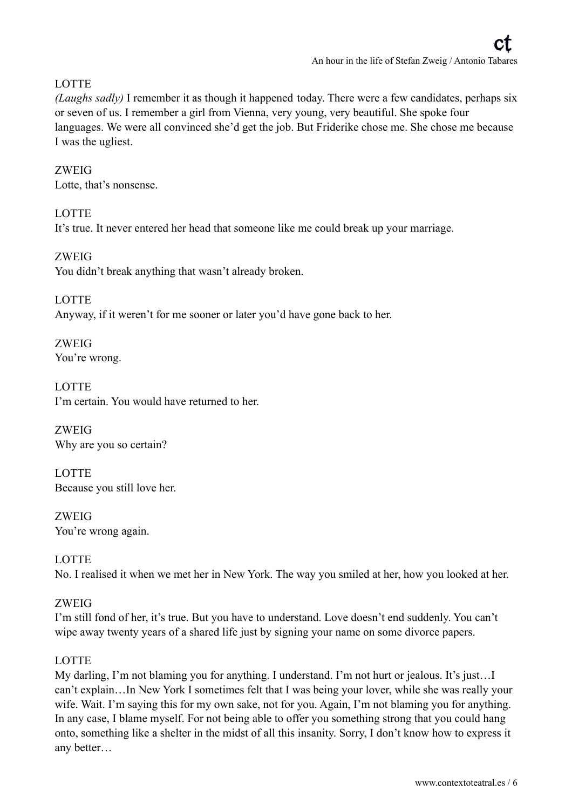# **LOTTE**

*(Laughs sadly)* I remember it as though it happened today. There were a few candidates, perhaps six or seven of us. I remember a girl from Vienna, very young, very beautiful. She spoke four languages. We were all convinced she'd get the job. But Friderike chose me. She chose me because I was the ugliest.

#### ZWEIG

Lotte, that's nonsense.

# **LOTTE**

It's true. It never entered her head that someone like me could break up your marriage.

#### ZWEIG You didn't break anything that wasn't already broken.

**LOTTE** Anyway, if it weren't for me sooner or later you'd have gone back to her.

ZWEIG You're wrong.

LOTTE I'm certain. You would have returned to her.

ZWEIG Why are you so certain?

LOTTE Because you still love her.

ZWEIG You're wrong again.

**LOTTE** No. I realised it when we met her in New York. The way you smiled at her, how you looked at her.

# ZWEIG

I'm still fond of her, it's true. But you have to understand. Love doesn't end suddenly. You can't wipe away twenty years of a shared life just by signing your name on some divorce papers.

# **LOTTE**

My darling, I'm not blaming you for anything. I understand. I'm not hurt or jealous. It's just…I can't explain…In New York I sometimes felt that I was being your lover, while she was really your wife. Wait. I'm saying this for my own sake, not for you. Again, I'm not blaming you for anything. In any case, I blame myself. For not being able to offer you something strong that you could hang onto, something like a shelter in the midst of all this insanity. Sorry, I don't know how to express it any better…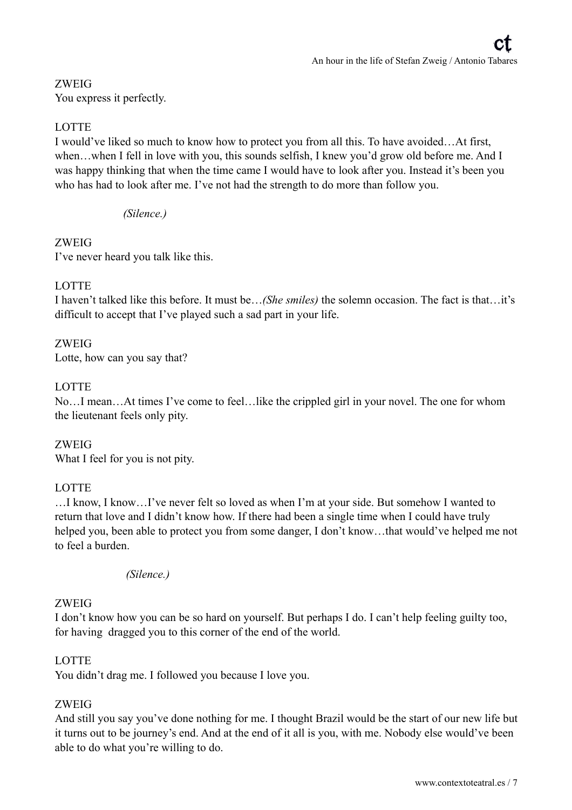# ZWEIG

You express it perfectly.

# **LOTTE**

I would've liked so much to know how to protect you from all this. To have avoided…At first, when...when I fell in love with you, this sounds selfish. I knew you'd grow old before me. And I was happy thinking that when the time came I would have to look after you. Instead it's been you who has had to look after me. I've not had the strength to do more than follow you.

*(Silence.)* 

#### ZWEIG

I've never heard you talk like this.

#### **LOTTE**

I haven't talked like this before. It must be…*(She smiles)* the solemn occasion. The fact is that…it's difficult to accept that I've played such a sad part in your life.

#### ZWEIG

Lotte, how can you say that?

#### **LOTTE**

No…I mean…At times I've come to feel…like the crippled girl in your novel. The one for whom the lieutenant feels only pity.

ZWEIG What I feel for you is not pity.

#### LOTTE

…I know, I know…I've never felt so loved as when I'm at your side. But somehow I wanted to return that love and I didn't know how. If there had been a single time when I could have truly helped you, been able to protect you from some danger, I don't know...that would've helped me not to feel a burden.

#### *(Silence.)*

#### ZWEIG

I don't know how you can be so hard on yourself. But perhaps I do. I can't help feeling guilty too, for having dragged you to this corner of the end of the world.

#### **LOTTE**

You didn't drag me. I followed you because I love you.

# ZWEIG

And still you say you've done nothing for me. I thought Brazil would be the start of our new life but it turns out to be journey's end. And at the end of it all is you, with me. Nobody else would've been able to do what you're willing to do.